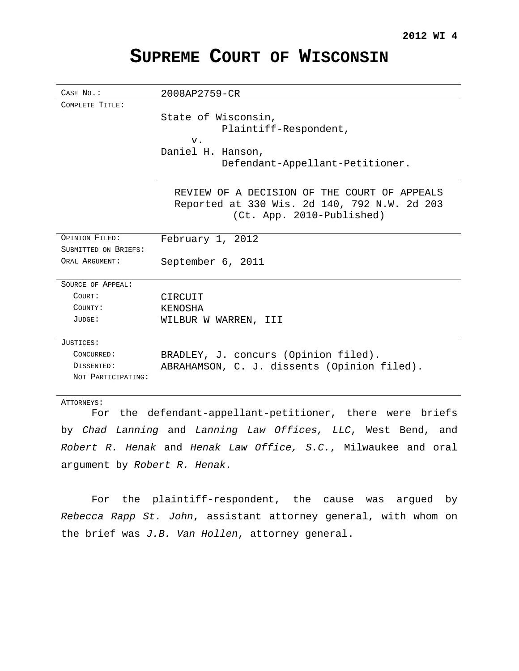# **SUPREME COURT OF WISCONSIN**

| CASE No.:                                                | 2008AP2759-CR                                                                                |
|----------------------------------------------------------|----------------------------------------------------------------------------------------------|
| COMPLETE TITLE:                                          |                                                                                              |
|                                                          | State of Wisconsin,                                                                          |
|                                                          | Plaintiff-Respondent,                                                                        |
|                                                          | V.                                                                                           |
|                                                          | Daniel H. Hanson,                                                                            |
|                                                          | Defendant-Appellant-Petitioner.                                                              |
|                                                          | REVIEW OF A DECISION OF THE COURT OF APPEALS<br>Reported at 330 Wis. 2d 140, 792 N.W. 2d 203 |
|                                                          | (Ct. App. 2010-Published)                                                                    |
| OPINION FILED:                                           | February 1, 2012                                                                             |
| SUBMITTED ON BRIEFS:                                     |                                                                                              |
| ORAL ARGUMENT:                                           | September 6, 2011                                                                            |
| SOURCE OF APPEAL:                                        |                                                                                              |
| COURT:                                                   | CIRCUIT                                                                                      |
| COUNTY:                                                  | KENOSHA                                                                                      |
| JUDGE:                                                   | WILBUR W WARREN, III                                                                         |
| JUSTICES:                                                |                                                                                              |
| CONCURRED:                                               | BRADLEY, J. concurs (Opinion filed).                                                         |
| DISSENTED:                                               | ABRAHAMSON, C. J. dissents (Opinion filed).                                                  |
| NOT PARTICIPATING:                                       |                                                                                              |
| ATTORNEYS:                                               |                                                                                              |
| For the defendant-appellant-petitioner there were briefs |                                                                                              |

For the defendant-appellant-petitioner, there were briefs by Chad Lanning and Lanning Law Offices, LLC, West Bend, and Robert R. Henak and Henak Law Office, S.C., Milwaukee and oral argument by Robert R. Henak.

For the plaintiff-respondent, the cause was argued by Rebecca Rapp St. John, assistant attorney general, with whom on the brief was J.B. Van Hollen, attorney general.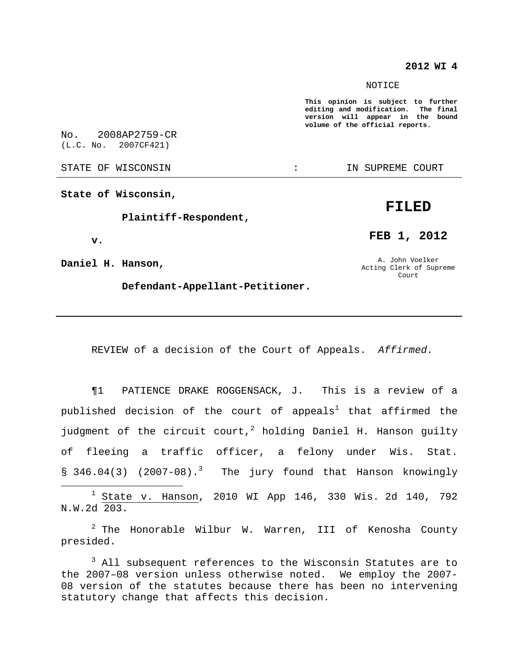#### **2012 WI 4**

#### NOTICE

**This opinion is subject to further editing and modification. The final version will appear in the bound volume of the official reports.**

No. 2008AP2759-CR (L.C. No. 2007CF421)

STATE OF WISCONSIN THE RESERVE STATE OF WISCONSIN STATE OF THE SUPREME COURT

**State of Wisconsin,**

**Plaintiff-Respondent,**

**v.**

**Daniel H. Hanson,**

**Defendant-Appellant-Petitioner.**

A. John Voelker Acting Clerk of Supreme

Court

**FEB 1, 2012**

REVIEW of a decision of the Court of Appeals. Affirmed.

¶1 PATIENCE DRAKE ROGGENSACK, J. This is a review of a published decision of the court of appeals $^1$  that affirmed the judgment of the circuit court,<sup>2</sup> holding Daniel H. Hanson guilty of fleeing a traffic officer, a felony under Wis. Stat. § 346.04(3) (2007-08).<sup>3</sup> The jury found that Hanson knowingly

<sup>1</sup> State v. Hanson, 2010 WI App 146, 330 Wis. 2d 140, 792 N.W.2d 203.

 $2$  The Honorable Wilbur W. Warren, III of Kenosha County presided.

<sup>3</sup> All subsequent references to the Wisconsin Statutes are to the 2007–08 version unless otherwise noted. We employ the 2007- 08 version of the statutes because there has been no intervening statutory change that affects this decision.

# **FILED**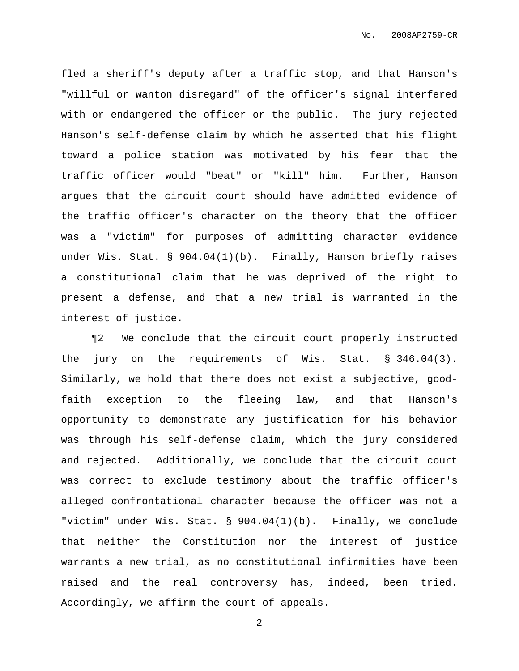fled a sheriff's deputy after a traffic stop, and that Hanson's "willful or wanton disregard" of the officer's signal interfered with or endangered the officer or the public. The jury rejected Hanson's self-defense claim by which he asserted that his flight toward a police station was motivated by his fear that the traffic officer would "beat" or "kill" him. Further, Hanson argues that the circuit court should have admitted evidence of the traffic officer's character on the theory that the officer was a "victim" for purposes of admitting character evidence under Wis. Stat. § 904.04(1)(b). Finally, Hanson briefly raises a constitutional claim that he was deprived of the right to present a defense, and that a new trial is warranted in the interest of justice.

¶2 We conclude that the circuit court properly instructed the jury on the requirements of Wis. Stat. § 346.04(3). Similarly, we hold that there does not exist a subjective, goodfaith exception to the fleeing law, and that Hanson's opportunity to demonstrate any justification for his behavior was through his self-defense claim, which the jury considered and rejected. Additionally, we conclude that the circuit court was correct to exclude testimony about the traffic officer's alleged confrontational character because the officer was not a "victim" under Wis. Stat. § 904.04(1)(b). Finally, we conclude that neither the Constitution nor the interest of justice warrants a new trial, as no constitutional infirmities have been raised and the real controversy has, indeed, been tried. Accordingly, we affirm the court of appeals.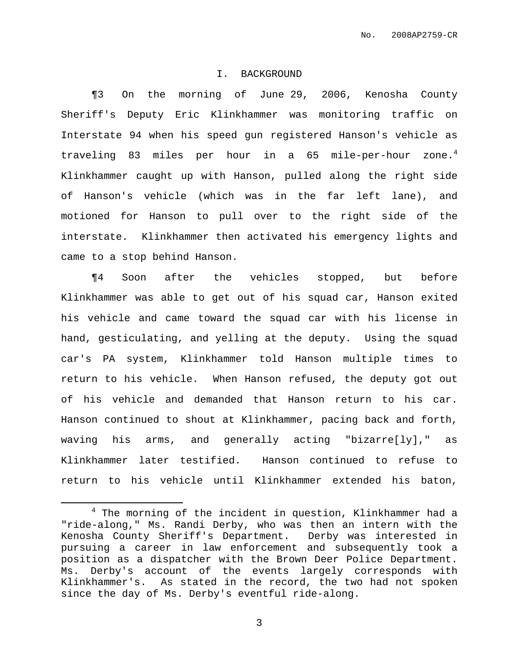#### I. BACKGROUND

¶3 On the morning of June 29, 2006, Kenosha County Sheriff's Deputy Eric Klinkhammer was monitoring traffic on Interstate 94 when his speed gun registered Hanson's vehicle as traveling 83 miles per hour in a 65 mile-per-hour zone.<sup>4</sup> Klinkhammer caught up with Hanson, pulled along the right side of Hanson's vehicle (which was in the far left lane), and motioned for Hanson to pull over to the right side of the interstate. Klinkhammer then activated his emergency lights and came to a stop behind Hanson.

¶4 Soon after the vehicles stopped, but before Klinkhammer was able to get out of his squad car, Hanson exited his vehicle and came toward the squad car with his license in hand, gesticulating, and yelling at the deputy. Using the squad car's PA system, Klinkhammer told Hanson multiple times to return to his vehicle. When Hanson refused, the deputy got out of his vehicle and demanded that Hanson return to his car. Hanson continued to shout at Klinkhammer, pacing back and forth, waving his arms, and generally acting "bizarre[ly]," as Klinkhammer later testified. Hanson continued to refuse to return to his vehicle until Klinkhammer extended his baton,

<sup>&</sup>lt;sup>4</sup> The morning of the incident in question, Klinkhammer had a "ride-along," Ms. Randi Derby, who was then an intern with the Kenosha County Sheriff's Department. Derby was interested in pursuing a career in law enforcement and subsequently took a position as a dispatcher with the Brown Deer Police Department. Ms. Derby's account of the events largely corresponds with Klinkhammer's. As stated in the record, the two had not spoken since the day of Ms. Derby's eventful ride-along.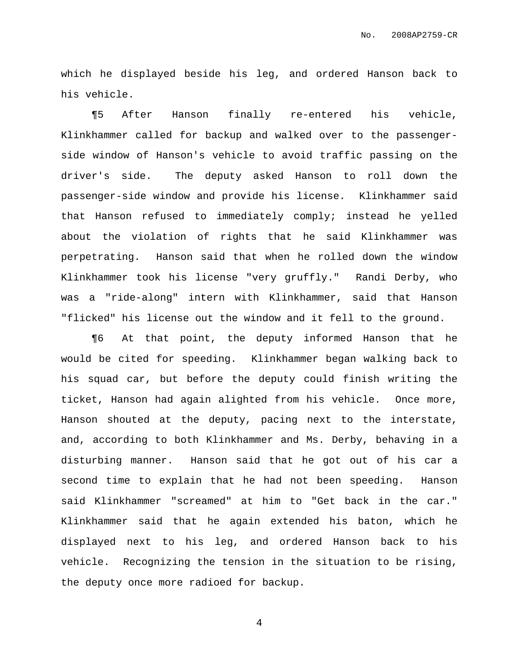which he displayed beside his leg, and ordered Hanson back to his vehicle.

¶5 After Hanson finally re-entered his vehicle, Klinkhammer called for backup and walked over to the passengerside window of Hanson's vehicle to avoid traffic passing on the driver's side. The deputy asked Hanson to roll down the passenger-side window and provide his license. Klinkhammer said that Hanson refused to immediately comply; instead he yelled about the violation of rights that he said Klinkhammer was perpetrating. Hanson said that when he rolled down the window Klinkhammer took his license "very gruffly." Randi Derby, who was a "ride-along" intern with Klinkhammer, said that Hanson "flicked" his license out the window and it fell to the ground.

¶6 At that point, the deputy informed Hanson that he would be cited for speeding. Klinkhammer began walking back to his squad car, but before the deputy could finish writing the ticket, Hanson had again alighted from his vehicle. Once more, Hanson shouted at the deputy, pacing next to the interstate, and, according to both Klinkhammer and Ms. Derby, behaving in a disturbing manner. Hanson said that he got out of his car a second time to explain that he had not been speeding. Hanson said Klinkhammer "screamed" at him to "Get back in the car." Klinkhammer said that he again extended his baton, which he displayed next to his leg, and ordered Hanson back to his vehicle. Recognizing the tension in the situation to be rising, the deputy once more radioed for backup.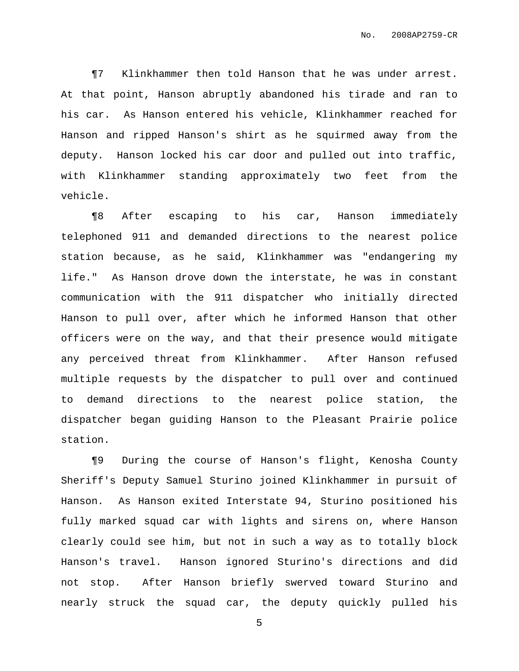¶7 Klinkhammer then told Hanson that he was under arrest. At that point, Hanson abruptly abandoned his tirade and ran to his car. As Hanson entered his vehicle, Klinkhammer reached for Hanson and ripped Hanson's shirt as he squirmed away from the deputy. Hanson locked his car door and pulled out into traffic, with Klinkhammer standing approximately two feet from the vehicle.

¶8 After escaping to his car, Hanson immediately telephoned 911 and demanded directions to the nearest police station because, as he said, Klinkhammer was "endangering my life." As Hanson drove down the interstate, he was in constant communication with the 911 dispatcher who initially directed Hanson to pull over, after which he informed Hanson that other officers were on the way, and that their presence would mitigate any perceived threat from Klinkhammer. After Hanson refused multiple requests by the dispatcher to pull over and continued to demand directions to the nearest police station, the dispatcher began guiding Hanson to the Pleasant Prairie police station.

¶9 During the course of Hanson's flight, Kenosha County Sheriff's Deputy Samuel Sturino joined Klinkhammer in pursuit of Hanson. As Hanson exited Interstate 94, Sturino positioned his fully marked squad car with lights and sirens on, where Hanson clearly could see him, but not in such a way as to totally block Hanson's travel. Hanson ignored Sturino's directions and did not stop. After Hanson briefly swerved toward Sturino and nearly struck the squad car, the deputy quickly pulled his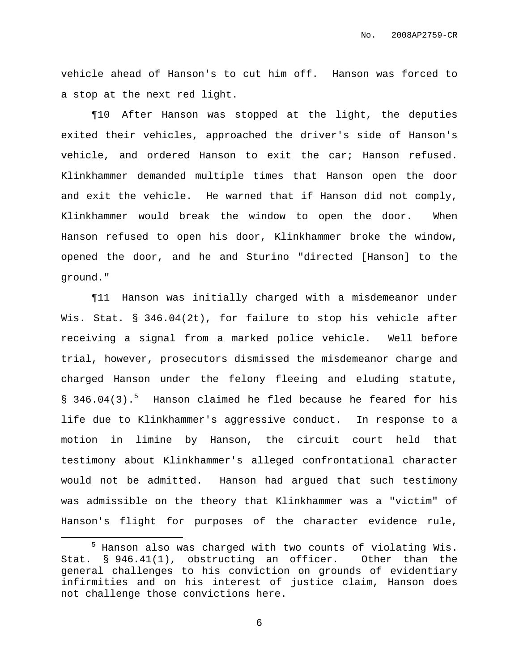vehicle ahead of Hanson's to cut him off. Hanson was forced to a stop at the next red light.

¶10 After Hanson was stopped at the light, the deputies exited their vehicles, approached the driver's side of Hanson's vehicle, and ordered Hanson to exit the car; Hanson refused. Klinkhammer demanded multiple times that Hanson open the door and exit the vehicle. He warned that if Hanson did not comply, Klinkhammer would break the window to open the door. When Hanson refused to open his door, Klinkhammer broke the window, opened the door, and he and Sturino "directed [Hanson] to the ground."

¶11 Hanson was initially charged with a misdemeanor under Wis. Stat. § 346.04(2t), for failure to stop his vehicle after receiving a signal from a marked police vehicle. Well before trial, however, prosecutors dismissed the misdemeanor charge and charged Hanson under the felony fleeing and eluding statute, § 346.04(3).<sup>5</sup> Hanson claimed he fled because he feared for his life due to Klinkhammer's aggressive conduct. In response to a motion in limine by Hanson, the circuit court held that testimony about Klinkhammer's alleged confrontational character would not be admitted. Hanson had argued that such testimony was admissible on the theory that Klinkhammer was a "victim" of Hanson's flight for purposes of the character evidence rule,

<sup>5</sup> Hanson also was charged with two counts of violating Wis. Stat. § 946.41(1), obstructing an officer. Other than the general challenges to his conviction on grounds of evidentiary infirmities and on his interest of justice claim, Hanson does not challenge those convictions here.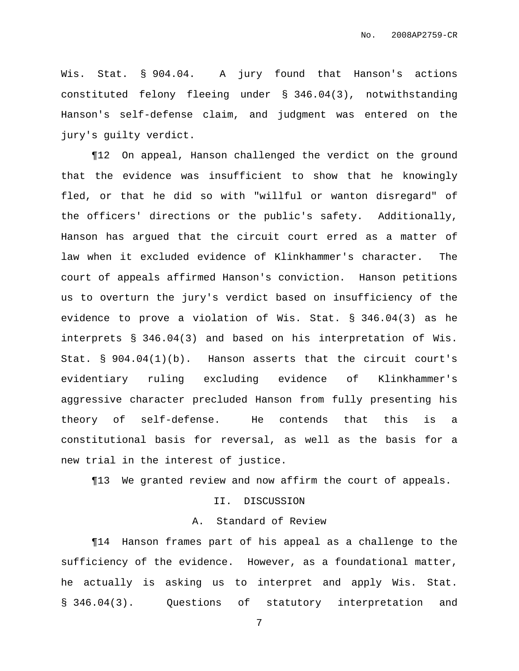Wis. Stat. § 904.04. A jury found that Hanson's actions constituted felony fleeing under § 346.04(3), notwithstanding Hanson's self-defense claim, and judgment was entered on the jury's guilty verdict.

¶12 On appeal, Hanson challenged the verdict on the ground that the evidence was insufficient to show that he knowingly fled, or that he did so with "willful or wanton disregard" of the officers' directions or the public's safety. Additionally, Hanson has argued that the circuit court erred as a matter of law when it excluded evidence of Klinkhammer's character. The court of appeals affirmed Hanson's conviction. Hanson petitions us to overturn the jury's verdict based on insufficiency of the evidence to prove a violation of Wis. Stat. § 346.04(3) as he interprets § 346.04(3) and based on his interpretation of Wis. Stat. § 904.04(1)(b). Hanson asserts that the circuit court's evidentiary ruling excluding evidence of Klinkhammer's aggressive character precluded Hanson from fully presenting his theory of self-defense. He contends that this is a constitutional basis for reversal, as well as the basis for a new trial in the interest of justice.

¶13 We granted review and now affirm the court of appeals.

#### II. DISCUSSION

## A. Standard of Review

¶14 Hanson frames part of his appeal as a challenge to the sufficiency of the evidence. However, as a foundational matter, he actually is asking us to interpret and apply Wis. Stat. § 346.04(3). Questions of statutory interpretation and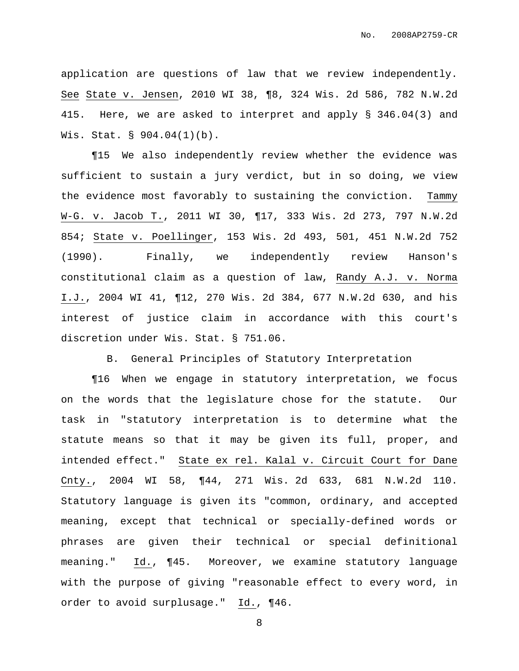application are questions of law that we review independently. See State v. Jensen, 2010 WI 38, ¶8, 324 Wis. 2d 586, 782 N.W.2d 415. Here, we are asked to interpret and apply § 346.04(3) and Wis. Stat. § 904.04(1)(b).

¶15 We also independently review whether the evidence was sufficient to sustain a jury verdict, but in so doing, we view the evidence most favorably to sustaining the conviction. Tammy W-G. v. Jacob T., 2011 WI 30, ¶17, 333 Wis. 2d 273, 797 N.W.2d 854; State v. Poellinger, 153 Wis. 2d 493, 501, 451 N.W.2d 752 (1990). Finally, we independently review Hanson's constitutional claim as a question of law, Randy A.J. v. Norma I.J., 2004 WI 41, ¶12, 270 Wis. 2d 384, 677 N.W.2d 630, and his interest of justice claim in accordance with this court's discretion under Wis. Stat. § 751.06.

B. General Principles of Statutory Interpretation

¶16 When we engage in statutory interpretation, we focus on the words that the legislature chose for the statute. Our task in "statutory interpretation is to determine what the statute means so that it may be given its full, proper, and intended effect." State ex rel. Kalal v. Circuit Court for Dane Cnty., 2004 WI 58, ¶44, 271 Wis. 2d 633, 681 N.W.2d 110. Statutory language is given its "common, ordinary, and accepted meaning, except that technical or specially-defined words or phrases are given their technical or special definitional meaning." Id., ¶45. Moreover, we examine statutory language with the purpose of giving "reasonable effect to every word, in order to avoid surplusage." Id., ¶46.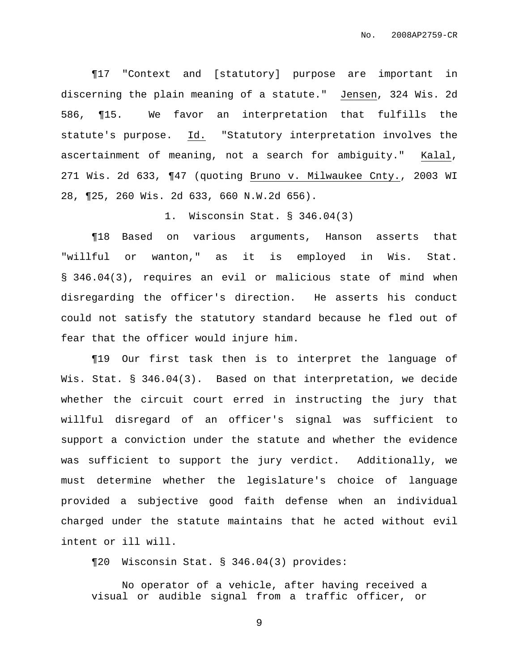¶17 "Context and [statutory] purpose are important in discerning the plain meaning of a statute." Jensen, 324 Wis. 2d 586, ¶15. We favor an interpretation that fulfills the statute's purpose. Id. "Statutory interpretation involves the ascertainment of meaning, not a search for ambiguity." Kalal, 271 Wis. 2d 633, ¶47 (quoting Bruno v. Milwaukee Cnty., 2003 WI 28, ¶25, 260 Wis. 2d 633, 660 N.W.2d 656).

1. Wisconsin Stat. § 346.04(3)

¶18 Based on various arguments, Hanson asserts that "willful or wanton," as it is employed in Wis. Stat. § 346.04(3), requires an evil or malicious state of mind when disregarding the officer's direction. He asserts his conduct could not satisfy the statutory standard because he fled out of fear that the officer would injure him.

¶19 Our first task then is to interpret the language of Wis. Stat. § 346.04(3). Based on that interpretation, we decide whether the circuit court erred in instructing the jury that willful disregard of an officer's signal was sufficient to support a conviction under the statute and whether the evidence was sufficient to support the jury verdict. Additionally, we must determine whether the legislature's choice of language provided a subjective good faith defense when an individual charged under the statute maintains that he acted without evil intent or ill will.

¶20 Wisconsin Stat. § 346.04(3) provides:

No operator of a vehicle, after having received a visual or audible signal from a traffic officer, or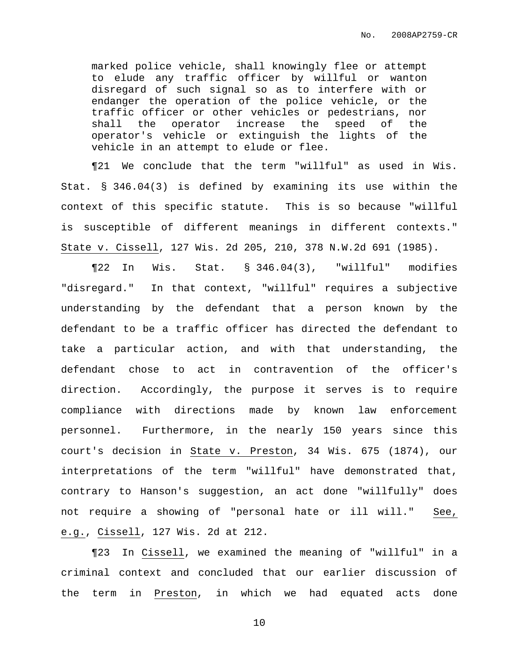marked police vehicle, shall knowingly flee or attempt to elude any traffic officer by willful or wanton disregard of such signal so as to interfere with or endanger the operation of the police vehicle, or the traffic officer or other vehicles or pedestrians, nor shall the operator increase the speed of the operator's vehicle or extinguish the lights of the vehicle in an attempt to elude or flee.

¶21 We conclude that the term "willful" as used in Wis. Stat. § 346.04(3) is defined by examining its use within the context of this specific statute. This is so because "willful is susceptible of different meanings in different contexts." State v. Cissell, 127 Wis. 2d 205, 210, 378 N.W.2d 691 (1985).

¶22 In Wis. Stat. § 346.04(3), "willful" modifies "disregard." In that context, "willful" requires a subjective understanding by the defendant that a person known by the defendant to be a traffic officer has directed the defendant to take a particular action, and with that understanding, the defendant chose to act in contravention of the officer's direction. Accordingly, the purpose it serves is to require compliance with directions made by known law enforcement personnel. Furthermore, in the nearly 150 years since this court's decision in State v. Preston, 34 Wis. 675 (1874), our interpretations of the term "willful" have demonstrated that, contrary to Hanson's suggestion, an act done "willfully" does not require a showing of "personal hate or ill will." See, e.g., Cissell, 127 Wis. 2d at 212.

¶23 In Cissell, we examined the meaning of "willful" in a criminal context and concluded that our earlier discussion of the term in Preston, in which we had equated acts done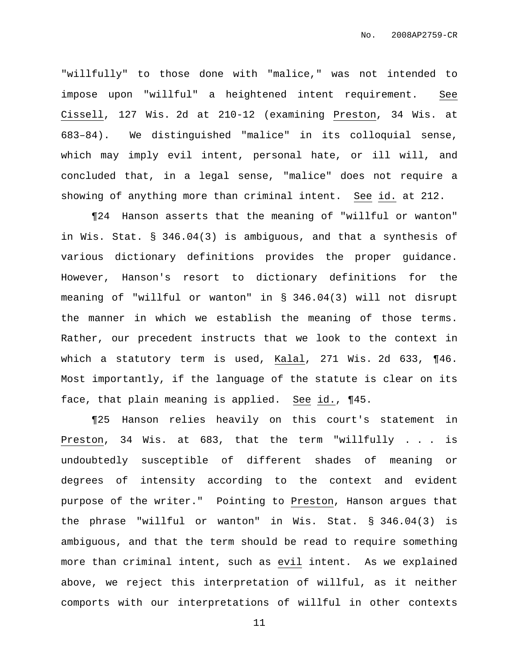"willfully" to those done with "malice," was not intended to impose upon "willful" a heightened intent requirement. See Cissell, 127 Wis. 2d at 210-12 (examining Preston, 34 Wis. at 683–84). We distinguished "malice" in its colloquial sense, which may imply evil intent, personal hate, or ill will, and concluded that, in a legal sense, "malice" does not require a showing of anything more than criminal intent. See id. at 212.

¶24 Hanson asserts that the meaning of "willful or wanton" in Wis. Stat. § 346.04(3) is ambiguous, and that a synthesis of various dictionary definitions provides the proper guidance. However, Hanson's resort to dictionary definitions for the meaning of "willful or wanton" in § 346.04(3) will not disrupt the manner in which we establish the meaning of those terms. Rather, our precedent instructs that we look to the context in which a statutory term is used, Kalal, 271 Wis. 2d 633, ¶46. Most importantly, if the language of the statute is clear on its face, that plain meaning is applied. See id., ¶45.

¶25 Hanson relies heavily on this court's statement in Preston, 34 Wis. at 683, that the term "willfully . . . is undoubtedly susceptible of different shades of meaning or degrees of intensity according to the context and evident purpose of the writer." Pointing to Preston, Hanson argues that the phrase "willful or wanton" in Wis. Stat. § 346.04(3) is ambiguous, and that the term should be read to require something more than criminal intent, such as evil intent. As we explained above, we reject this interpretation of willful, as it neither comports with our interpretations of willful in other contexts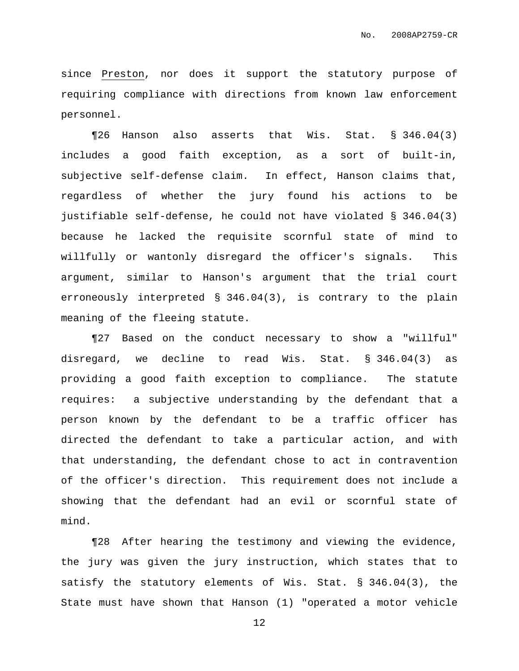since Preston, nor does it support the statutory purpose of requiring compliance with directions from known law enforcement personnel.

¶26 Hanson also asserts that Wis. Stat. § 346.04(3) includes a good faith exception, as a sort of built-in, subjective self-defense claim. In effect, Hanson claims that, regardless of whether the jury found his actions to be justifiable self-defense, he could not have violated § 346.04(3) because he lacked the requisite scornful state of mind to willfully or wantonly disregard the officer's signals. This argument, similar to Hanson's argument that the trial court erroneously interpreted § 346.04(3), is contrary to the plain meaning of the fleeing statute.

¶27 Based on the conduct necessary to show a "willful" disregard, we decline to read Wis. Stat. § 346.04(3) as providing a good faith exception to compliance. The statute requires: a subjective understanding by the defendant that a person known by the defendant to be a traffic officer has directed the defendant to take a particular action, and with that understanding, the defendant chose to act in contravention of the officer's direction. This requirement does not include a showing that the defendant had an evil or scornful state of mind.

¶28 After hearing the testimony and viewing the evidence, the jury was given the jury instruction, which states that to satisfy the statutory elements of Wis. Stat. § 346.04(3), the State must have shown that Hanson (1) "operated a motor vehicle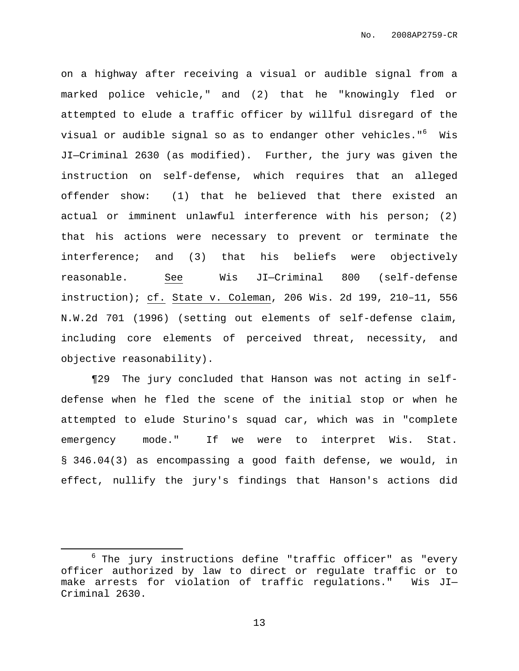on a highway after receiving a visual or audible signal from a marked police vehicle," and (2) that he "knowingly fled or attempted to elude a traffic officer by willful disregard of the visual or audible signal so as to endanger other vehicles." <sup>6</sup> Wis JI—Criminal 2630 (as modified). Further, the jury was given the instruction on self-defense, which requires that an alleged offender show: (1) that he believed that there existed an actual or imminent unlawful interference with his person; (2) that his actions were necessary to prevent or terminate the interference; and (3) that his beliefs were objectively reasonable. See Wis JI—Criminal 800 (self-defense instruction); cf. State v. Coleman, 206 Wis. 2d 199, 210–11, 556 N.W.2d 701 (1996) (setting out elements of self-defense claim, including core elements of perceived threat, necessity, and objective reasonability).

¶29 The jury concluded that Hanson was not acting in selfdefense when he fled the scene of the initial stop or when he attempted to elude Sturino's squad car, which was in "complete emergency mode." If we were to interpret Wis. Stat. § 346.04(3) as encompassing a good faith defense, we would, in effect, nullify the jury's findings that Hanson's actions did

 $6$  The jury instructions define "traffic officer" as "every officer authorized by law to direct or regulate traffic or to make arrests for violation of traffic regulations." Wis JI— Criminal 2630.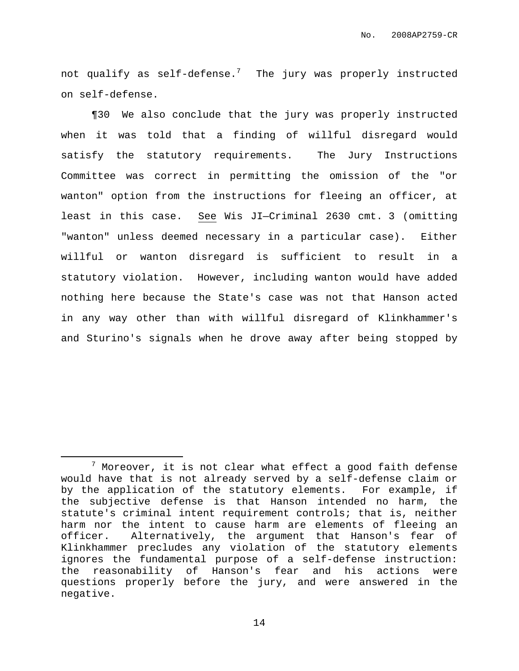not qualify as self-defense. $^7$  - The jury was properly instructed on self-defense.

¶30 We also conclude that the jury was properly instructed when it was told that a finding of willful disregard would satisfy the statutory requirements. The Jury Instructions Committee was correct in permitting the omission of the "or wanton" option from the instructions for fleeing an officer, at least in this case. See Wis JI—Criminal 2630 cmt. 3 (omitting "wanton" unless deemed necessary in a particular case). Either willful or wanton disregard is sufficient to result in a statutory violation. However, including wanton would have added nothing here because the State's case was not that Hanson acted in any way other than with willful disregard of Klinkhammer's and Sturino's signals when he drove away after being stopped by

 $<sup>7</sup>$  Moreover, it is not clear what effect a good faith defense</sup> would have that is not already served by a self-defense claim or by the application of the statutory elements. For example, if the subjective defense is that Hanson intended no harm, the statute's criminal intent requirement controls; that is, neither harm nor the intent to cause harm are elements of fleeing an officer. Alternatively, the argument that Hanson's fear of Klinkhammer precludes any violation of the statutory elements ignores the fundamental purpose of a self-defense instruction: the reasonability of Hanson's fear and his actions were questions properly before the jury, and were answered in the negative.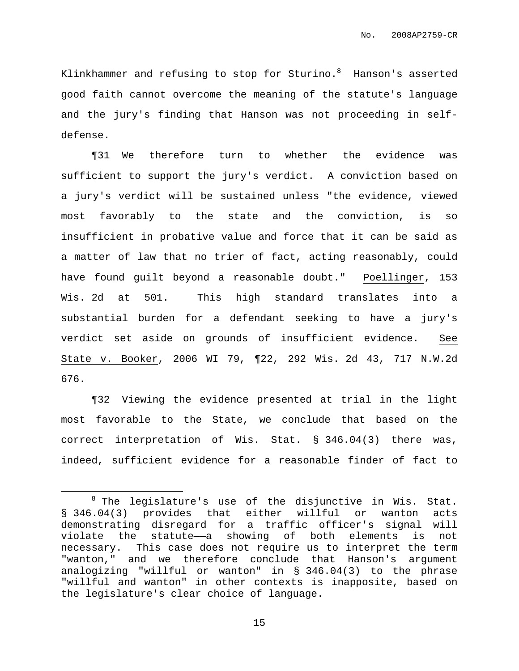Klinkhammer and refusing to stop for Sturino. $^8$  Hanson's asserted good faith cannot overcome the meaning of the statute's language and the jury's finding that Hanson was not proceeding in selfdefense.

¶31 We therefore turn to whether the evidence was sufficient to support the jury's verdict. A conviction based on a jury's verdict will be sustained unless "the evidence, viewed most favorably to the state and the conviction, is so insufficient in probative value and force that it can be said as a matter of law that no trier of fact, acting reasonably, could have found guilt beyond a reasonable doubt." Poellinger, 153 Wis. 2d at 501. This high standard translates into a substantial burden for a defendant seeking to have a jury's verdict set aside on grounds of insufficient evidence. See State v. Booker, 2006 WI 79, ¶22, 292 Wis. 2d 43, 717 N.W.2d 676.

¶32 Viewing the evidence presented at trial in the light most favorable to the State, we conclude that based on the correct interpretation of Wis. Stat. § 346.04(3) there was, indeed, sufficient evidence for a reasonable finder of fact to

 $8$  The legislature's use of the disjunctive in Wis. Stat. § 346.04(3) provides that either willful or wanton acts demonstrating disregard for a traffic officer's signal will violate the statute——a showing of both elements is not necessary. This case does not require us to interpret the term "wanton," and we therefore conclude that Hanson's argument analogizing "willful or wanton" in § 346.04(3) to the phrase "willful and wanton" in other contexts is inapposite, based on the legislature's clear choice of language.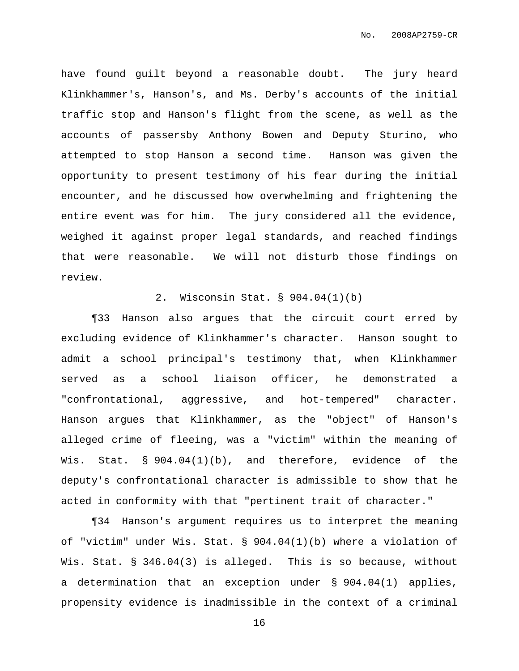have found guilt beyond a reasonable doubt. The jury heard Klinkhammer's, Hanson's, and Ms. Derby's accounts of the initial traffic stop and Hanson's flight from the scene, as well as the accounts of passersby Anthony Bowen and Deputy Sturino, who attempted to stop Hanson a second time. Hanson was given the opportunity to present testimony of his fear during the initial encounter, and he discussed how overwhelming and frightening the entire event was for him. The jury considered all the evidence, weighed it against proper legal standards, and reached findings that were reasonable. We will not disturb those findings on review.

### 2. Wisconsin Stat. § 904.04(1)(b)

¶33 Hanson also argues that the circuit court erred by excluding evidence of Klinkhammer's character. Hanson sought to admit a school principal's testimony that, when Klinkhammer served as a school liaison officer, he demonstrated a "confrontational, aggressive, and hot-tempered" character. Hanson argues that Klinkhammer, as the "object" of Hanson's alleged crime of fleeing, was a "victim" within the meaning of Wis. Stat. § 904.04(1)(b), and therefore, evidence of the deputy's confrontational character is admissible to show that he acted in conformity with that "pertinent trait of character."

¶34 Hanson's argument requires us to interpret the meaning of "victim" under Wis. Stat. § 904.04(1)(b) where a violation of Wis. Stat. § 346.04(3) is alleged. This is so because, without a determination that an exception under § 904.04(1) applies, propensity evidence is inadmissible in the context of a criminal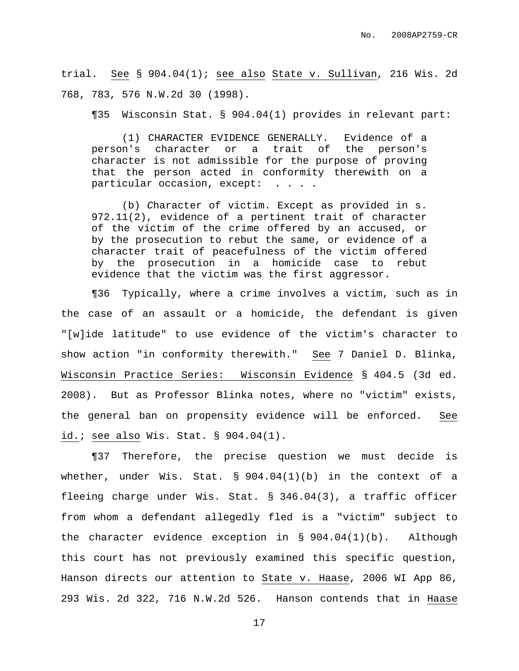trial. See § 904.04(1); see also State v. Sullivan, 216 Wis. 2d 768, 783, 576 N.W.2d 30 (1998).

¶35 Wisconsin Stat. § 904.04(1) provides in relevant part:

(1) CHARACTER EVIDENCE GENERALLY. Evidence of a person's character or a trait of the person's character is not admissible for the purpose of proving that the person acted in conformity therewith on a particular occasion, except: . . . .

(b) Character of victim. Except as provided in s. 972.11(2), evidence of a pertinent trait of character of the victim of the crime offered by an accused, or by the prosecution to rebut the same, or evidence of a character trait of peacefulness of the victim offered by the prosecution in a homicide case to rebut evidence that the victim was the first aggressor.

¶36 Typically, where a crime involves a victim, such as in the case of an assault or a homicide, the defendant is given "[w]ide latitude" to use evidence of the victim's character to show action "in conformity therewith." See 7 Daniel D. Blinka, Wisconsin Practice Series: Wisconsin Evidence § 404.5 (3d ed. 2008). But as Professor Blinka notes, where no "victim" exists, the general ban on propensity evidence will be enforced. See id.; see also Wis. Stat. § 904.04(1).

¶37 Therefore, the precise question we must decide is whether, under Wis. Stat.  $\S$  904.04(1)(b) in the context of a fleeing charge under Wis. Stat. § 346.04(3), a traffic officer from whom a defendant allegedly fled is a "victim" subject to the character evidence exception in § 904.04(1)(b). Although this court has not previously examined this specific question, Hanson directs our attention to State v. Haase, 2006 WI App 86, 293 Wis. 2d 322, 716 N.W.2d 526. Hanson contends that in Haase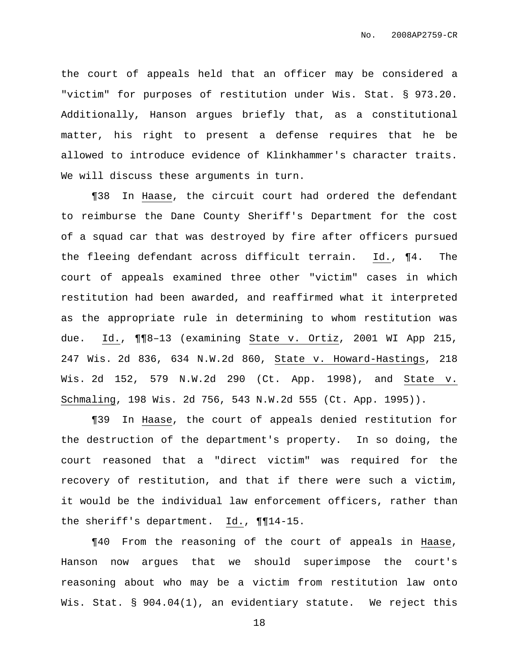the court of appeals held that an officer may be considered a "victim" for purposes of restitution under Wis. Stat. § 973.20. Additionally, Hanson argues briefly that, as a constitutional matter, his right to present a defense requires that he be allowed to introduce evidence of Klinkhammer's character traits. We will discuss these arguments in turn.

¶38 In Haase, the circuit court had ordered the defendant to reimburse the Dane County Sheriff's Department for the cost of a squad car that was destroyed by fire after officers pursued the fleeing defendant across difficult terrain. Id., ¶4. The court of appeals examined three other "victim" cases in which restitution had been awarded, and reaffirmed what it interpreted as the appropriate rule in determining to whom restitution was due. Id., ¶¶8–13 (examining State v. Ortiz, 2001 WI App 215, 247 Wis. 2d 836, 634 N.W.2d 860, State v. Howard-Hastings, 218 Wis. 2d 152, 579 N.W.2d 290 (Ct. App. 1998), and State v. Schmaling, 198 Wis. 2d 756, 543 N.W.2d 555 (Ct. App. 1995)).

¶39 In Haase, the court of appeals denied restitution for the destruction of the department's property. In so doing, the court reasoned that a "direct victim" was required for the recovery of restitution, and that if there were such a victim, it would be the individual law enforcement officers, rather than the sheriff's department. Id., ¶¶14-15.

¶40 From the reasoning of the court of appeals in Haase, Hanson now argues that we should superimpose the court's reasoning about who may be a victim from restitution law onto Wis. Stat. § 904.04(1), an evidentiary statute. We reject this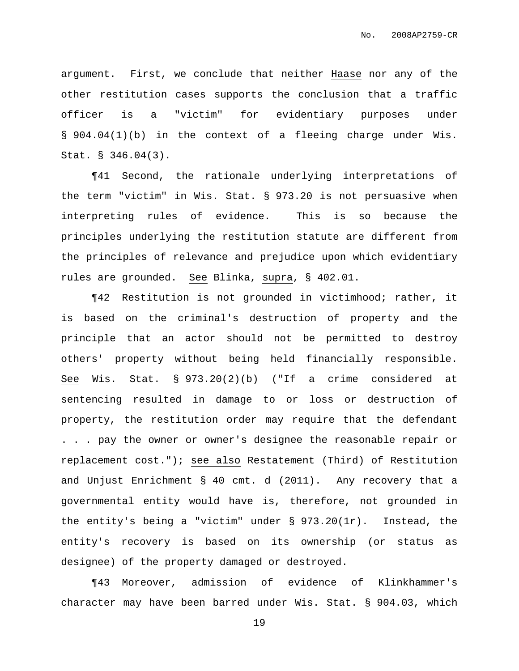argument. First, we conclude that neither Haase nor any of the other restitution cases supports the conclusion that a traffic officer is a "victim" for evidentiary purposes under § 904.04(1)(b) in the context of a fleeing charge under Wis. Stat. § 346.04(3).

¶41 Second, the rationale underlying interpretations of the term "victim" in Wis. Stat. § 973.20 is not persuasive when interpreting rules of evidence. This is so because the principles underlying the restitution statute are different from the principles of relevance and prejudice upon which evidentiary rules are grounded. See Blinka, supra, § 402.01.

¶42 Restitution is not grounded in victimhood; rather, it is based on the criminal's destruction of property and the principle that an actor should not be permitted to destroy others' property without being held financially responsible. See Wis. Stat. § 973.20(2)(b) ("If a crime considered at sentencing resulted in damage to or loss or destruction of property, the restitution order may require that the defendant . . . pay the owner or owner's designee the reasonable repair or replacement cost."); see also Restatement (Third) of Restitution and Unjust Enrichment § 40 cmt. d (2011). Any recovery that a governmental entity would have is, therefore, not grounded in the entity's being a "victim" under § 973.20(1r). Instead, the entity's recovery is based on its ownership (or status as designee) of the property damaged or destroyed.

¶43 Moreover, admission of evidence of Klinkhammer's character may have been barred under Wis. Stat. § 904.03, which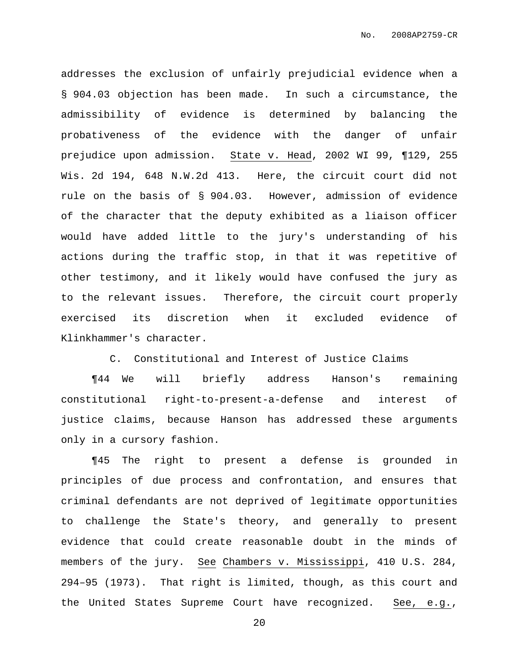addresses the exclusion of unfairly prejudicial evidence when a § 904.03 objection has been made. In such a circumstance, the admissibility of evidence is determined by balancing the probativeness of the evidence with the danger of unfair prejudice upon admission. State v. Head, 2002 WI 99, ¶129, 255 Wis. 2d 194, 648 N.W.2d 413. Here, the circuit court did not rule on the basis of § 904.03. However, admission of evidence of the character that the deputy exhibited as a liaison officer would have added little to the jury's understanding of his actions during the traffic stop, in that it was repetitive of other testimony, and it likely would have confused the jury as to the relevant issues. Therefore, the circuit court properly exercised its discretion when it excluded evidence of Klinkhammer's character.

C. Constitutional and Interest of Justice Claims

¶44 We will briefly address Hanson's remaining constitutional right-to-present-a-defense and interest of justice claims, because Hanson has addressed these arguments only in a cursory fashion.

¶45 The right to present a defense is grounded in principles of due process and confrontation, and ensures that criminal defendants are not deprived of legitimate opportunities to challenge the State's theory, and generally to present evidence that could create reasonable doubt in the minds of members of the jury. See Chambers v. Mississippi, 410 U.S. 284, 294–95 (1973). That right is limited, though, as this court and the United States Supreme Court have recognized. See, e.g.,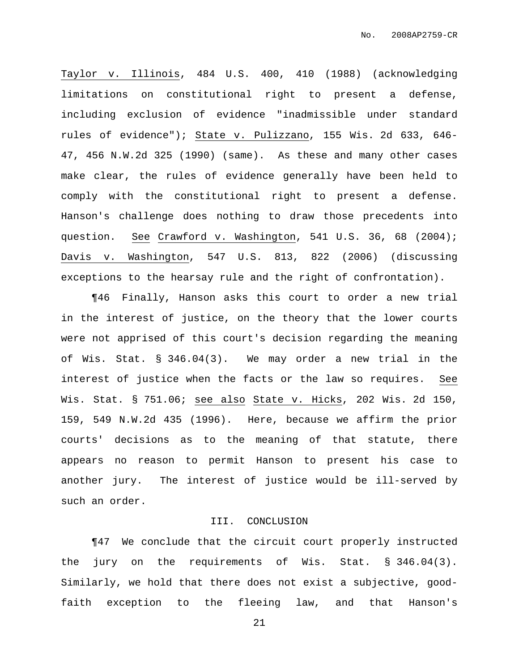Taylor v. Illinois, 484 U.S. 400, 410 (1988) (acknowledging limitations on constitutional right to present a defense, including exclusion of evidence "inadmissible under standard rules of evidence"); State v. Pulizzano, 155 Wis. 2d 633, 646- 47, 456 N.W.2d 325 (1990) (same). As these and many other cases make clear, the rules of evidence generally have been held to comply with the constitutional right to present a defense. Hanson's challenge does nothing to draw those precedents into question. See Crawford v. Washington, 541 U.S. 36, 68 (2004); Davis v. Washington, 547 U.S. 813, 822 (2006) (discussing exceptions to the hearsay rule and the right of confrontation).

¶46 Finally, Hanson asks this court to order a new trial in the interest of justice, on the theory that the lower courts were not apprised of this court's decision regarding the meaning of Wis. Stat. § 346.04(3). We may order a new trial in the interest of justice when the facts or the law so requires. See Wis. Stat. § 751.06; see also State v. Hicks, 202 Wis. 2d 150, 159, 549 N.W.2d 435 (1996). Here, because we affirm the prior courts' decisions as to the meaning of that statute, there appears no reason to permit Hanson to present his case to another jury. The interest of justice would be ill-served by such an order.

#### III. CONCLUSION

¶47 We conclude that the circuit court properly instructed the jury on the requirements of Wis. Stat. § 346.04(3). Similarly, we hold that there does not exist a subjective, goodfaith exception to the fleeing law, and that Hanson's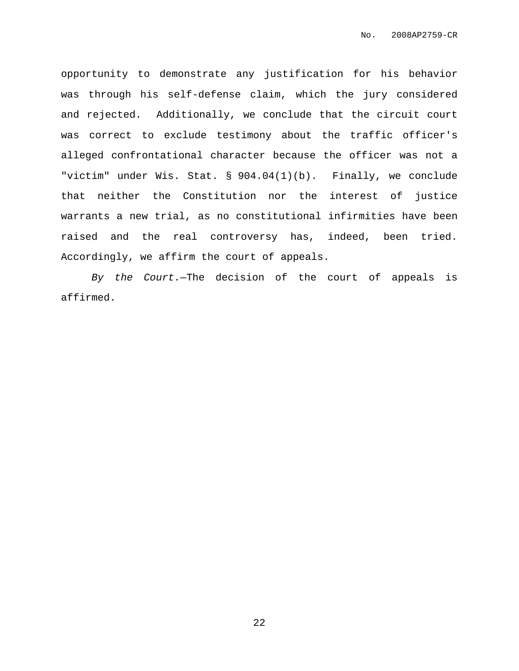opportunity to demonstrate any justification for his behavior was through his self-defense claim, which the jury considered and rejected. Additionally, we conclude that the circuit court was correct to exclude testimony about the traffic officer's alleged confrontational character because the officer was not a "victim" under Wis. Stat. § 904.04(1)(b). Finally, we conclude that neither the Constitution nor the interest of justice warrants a new trial, as no constitutional infirmities have been raised and the real controversy has, indeed, been tried. Accordingly, we affirm the court of appeals.

By the Court.—The decision of the court of appeals is affirmed.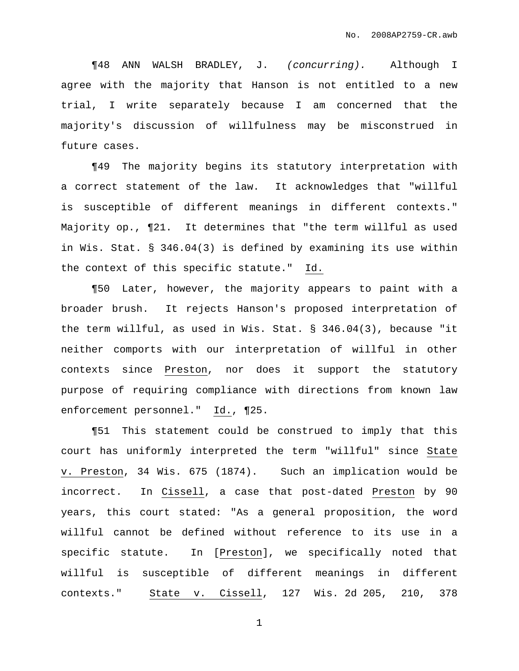¶48 ANN WALSH BRADLEY, J. (concurring). Although I agree with the majority that Hanson is not entitled to a new trial, I write separately because I am concerned that the majority's discussion of willfulness may be misconstrued in future cases.

¶49 The majority begins its statutory interpretation with a correct statement of the law. It acknowledges that "willful is susceptible of different meanings in different contexts." Majority op., ¶21. It determines that "the term willful as used in Wis. Stat. § 346.04(3) is defined by examining its use within the context of this specific statute." Id.

¶50 Later, however, the majority appears to paint with a broader brush. It rejects Hanson's proposed interpretation of the term willful, as used in Wis. Stat. § 346.04(3), because "it neither comports with our interpretation of willful in other contexts since Preston, nor does it support the statutory purpose of requiring compliance with directions from known law enforcement personnel." Id., ¶25.

¶51 This statement could be construed to imply that this court has uniformly interpreted the term "willful" since State v. Preston, 34 Wis. 675 (1874). Such an implication would be incorrect. In Cissell, a case that post-dated Preston by 90 years, this court stated: "As a general proposition, the word willful cannot be defined without reference to its use in a specific statute. In [Preston], we specifically noted that willful is susceptible of different meanings in different contexts." State v. Cissell, 127 Wis. 2d 205, 210, 378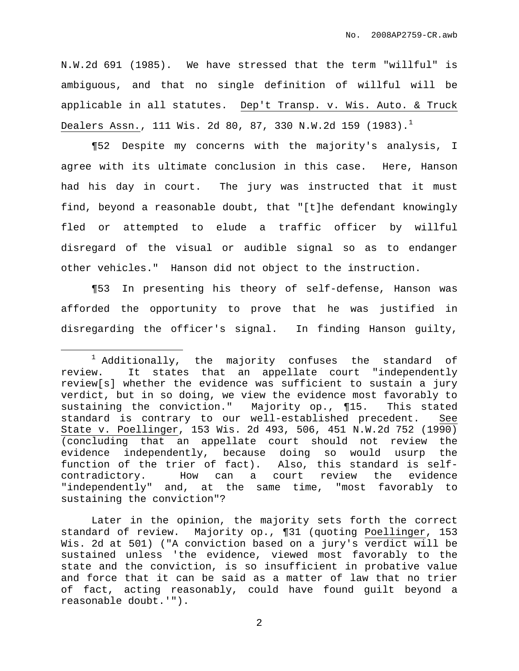N.W.2d 691 (1985). We have stressed that the term "willful" is ambiguous, and that no single definition of willful will be applicable in all statutes. Dep't Transp. v. Wis. Auto. & Truck Dealers Assn., 111 Wis. 2d 80, 87, 330 N.W.2d 159 (1983). $^{\rm l}$ 

¶52 Despite my concerns with the majority's analysis, I agree with its ultimate conclusion in this case. Here, Hanson had his day in court. The jury was instructed that it must find, beyond a reasonable doubt, that "[t]he defendant knowingly fled or attempted to elude a traffic officer by willful disregard of the visual or audible signal so as to endanger other vehicles." Hanson did not object to the instruction.

¶53 In presenting his theory of self-defense, Hanson was afforded the opportunity to prove that he was justified in disregarding the officer's signal. In finding Hanson guilty,

Later in the opinion, the majority sets forth the correct standard of review. Majority op., ¶31 (quoting Poellinger, 153 Wis. 2d at 501) ("A conviction based on a jury's verdict will be sustained unless 'the evidence, viewed most favorably to the state and the conviction, is so insufficient in probative value and force that it can be said as a matter of law that no trier of fact, acting reasonably, could have found guilt beyond a reasonable doubt.'").

 $1$  Additionally, the majority confuses the standard of review. It states that an appellate court "independently review[s] whether the evidence was sufficient to sustain a jury verdict, but in so doing, we view the evidence most favorably to sustaining the conviction." Majority op., ¶15. This stated standard is contrary to our well-established precedent. See State v. Poellinger, 153 Wis. 2d 493, 506, 451 N.W.2d 752 (1990) (concluding that an appellate court should not review the evidence independently, because doing so would usurp the function of the trier of fact). Also, this standard is selfcontradictory. How can a court review the evidence "independently" and, at the same time, "most favorably to sustaining the conviction"?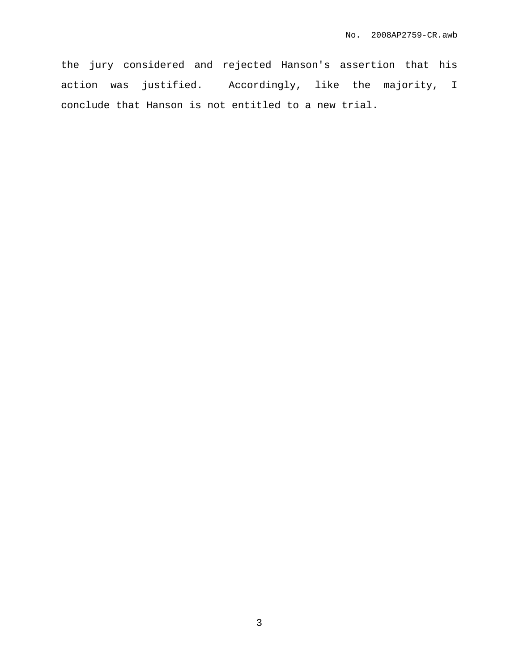the jury considered and rejected Hanson's assertion that his action was justified. Accordingly, like the majority, I conclude that Hanson is not entitled to a new trial.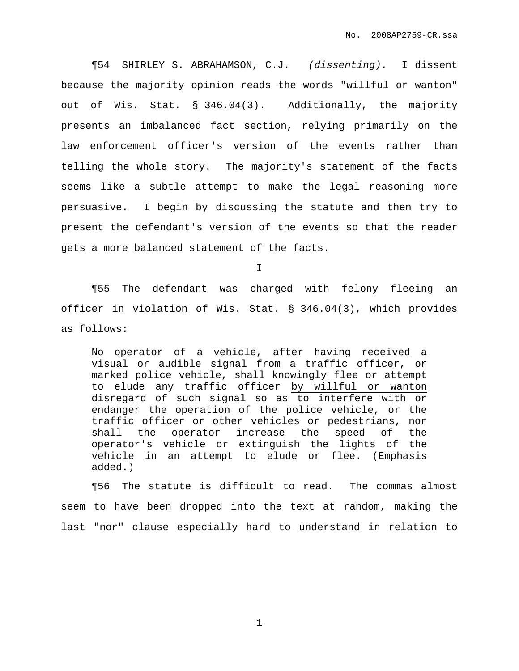¶54 SHIRLEY S. ABRAHAMSON, C.J. (dissenting). I dissent because the majority opinion reads the words "willful or wanton" out of Wis. Stat. § 346.04(3). Additionally, the majority presents an imbalanced fact section, relying primarily on the law enforcement officer's version of the events rather than telling the whole story. The majority's statement of the facts seems like a subtle attempt to make the legal reasoning more persuasive. I begin by discussing the statute and then try to present the defendant's version of the events so that the reader gets a more balanced statement of the facts.

I

¶55 The defendant was charged with felony fleeing an officer in violation of Wis. Stat. § 346.04(3), which provides as follows:

No operator of a vehicle, after having received a visual or audible signal from a traffic officer, or marked police vehicle, shall knowingly flee or attempt to elude any traffic officer by willful or wanton disregard of such signal so as to interfere with or endanger the operation of the police vehicle, or the traffic officer or other vehicles or pedestrians, nor shall the operator increase the speed of the operator's vehicle or extinguish the lights of the vehicle in an attempt to elude or flee. (Emphasis added.)

¶56 The statute is difficult to read. The commas almost seem to have been dropped into the text at random, making the last "nor" clause especially hard to understand in relation to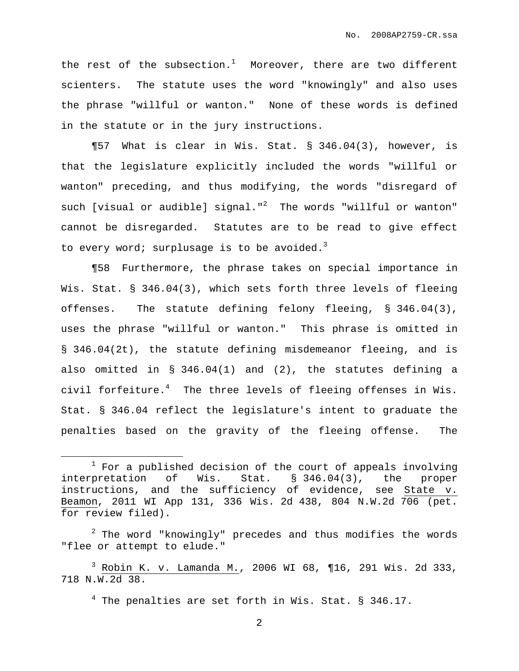the rest of the subsection.<sup>1</sup> Moreover, there are two different scienters. The statute uses the word "knowingly" and also uses the phrase "willful or wanton." None of these words is defined in the statute or in the jury instructions.

¶57 What is clear in Wis. Stat. § 346.04(3), however, is that the legislature explicitly included the words "willful or wanton" preceding, and thus modifying, the words "disregard of such [visual or audible] signal."<sup>2</sup> The words "willful or wanton" cannot be disregarded. Statutes are to be read to give effect to every word; surplusage is to be avoided.<sup>3</sup>

¶58 Furthermore, the phrase takes on special importance in Wis. Stat. § 346.04(3), which sets forth three levels of fleeing offenses. The statute defining felony fleeing, § 346.04(3), uses the phrase "willful or wanton." This phrase is omitted in § 346.04(2t), the statute defining misdemeanor fleeing, and is also omitted in § 346.04(1) and (2), the statutes defining a civil forfeiture. <sup>4</sup> The three levels of fleeing offenses in Wis. Stat. § 346.04 reflect the legislature's intent to graduate the penalties based on the gravity of the fleeing offense. The

 $2$  The word "knowingly" precedes and thus modifies the words "flee or attempt to elude."

 $4$  The penalties are set forth in Wis. Stat. § 346.17.

 $1$  For a published decision of the court of appeals involving interpretation of Wis. Stat. § 346.04(3), the proper instructions, and the sufficiency of evidence, see State v. Beamon, 2011 WI App 131, 336 Wis. 2d 438, 804 N.W.2d 706 (pet. for review filed).

<sup>3</sup> Robin K. v. Lamanda M., 2006 WI 68, ¶16, 291 Wis. 2d 333, 718 N.W.2d 38.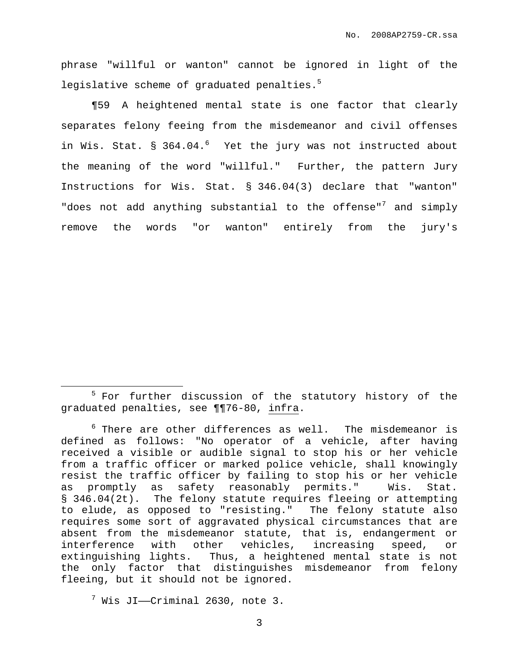phrase "willful or wanton" cannot be ignored in light of the legislative scheme of graduated penalties.<sup>5</sup>

¶59 A heightened mental state is one factor that clearly separates felony feeing from the misdemeanor and civil offenses in Wis. Stat. § 364.04. <sup>6</sup> Yet the jury was not instructed about the meaning of the word "willful." Further, the pattern Jury Instructions for Wis. Stat. § 346.04(3) declare that "wanton" "does not add anything substantial to the offense"<sup>7</sup> and simply remove the words "or wanton" entirely from the jury's

<sup>&</sup>lt;sup>5</sup> For further discussion of the statutory history of the graduated penalties, see ¶¶76-80, infra.

 $^6$  There are other differences as well. The misdemeanor is defined as follows: "No operator of a vehicle, after having received a visible or audible signal to stop his or her vehicle from a traffic officer or marked police vehicle, shall knowingly resist the traffic officer by failing to stop his or her vehicle as promptly as safety reasonably permits." Wis. Stat. § 346.04(2t). The felony statute requires fleeing or attempting to elude, as opposed to "resisting." The felony statute also requires some sort of aggravated physical circumstances that are absent from the misdemeanor statute, that is, endangerment or interference with other vehicles, increasing speed, or extinguishing lights. Thus, a heightened mental state is not the only factor that distinguishes misdemeanor from felony fleeing, but it should not be ignored.

 $7$  Wis JI--Criminal 2630, note 3.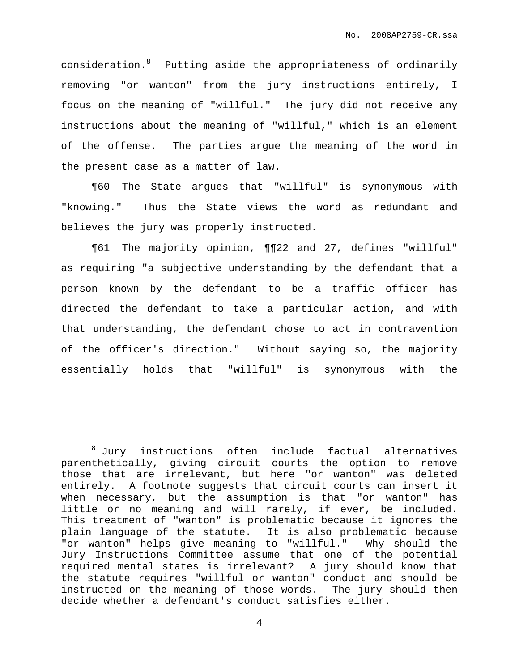consideration. <sup>8</sup> Putting aside the appropriateness of ordinarily removing "or wanton" from the jury instructions entirely, I focus on the meaning of "willful." The jury did not receive any instructions about the meaning of "willful," which is an element of the offense. The parties argue the meaning of the word in the present case as a matter of law.

¶60 The State argues that "willful" is synonymous with "knowing." Thus the State views the word as redundant and believes the jury was properly instructed.

¶61 The majority opinion, ¶¶22 and 27, defines "willful" as requiring "a subjective understanding by the defendant that a person known by the defendant to be a traffic officer has directed the defendant to take a particular action, and with that understanding, the defendant chose to act in contravention of the officer's direction." Without saying so, the majority essentially holds that "willful" is synonymous with the

<sup>8</sup> Jury instructions often include factual alternatives parenthetically, giving circuit courts the option to remove those that are irrelevant, but here "or wanton" was deleted entirely. A footnote suggests that circuit courts can insert it when necessary, but the assumption is that "or wanton" has little or no meaning and will rarely, if ever, be included. This treatment of "wanton" is problematic because it ignores the plain language of the statute. It is also problematic because "or wanton" helps give meaning to "willful." Why should the Jury Instructions Committee assume that one of the potential required mental states is irrelevant? A jury should know that the statute requires "willful or wanton" conduct and should be instructed on the meaning of those words. The jury should then decide whether a defendant's conduct satisfies either.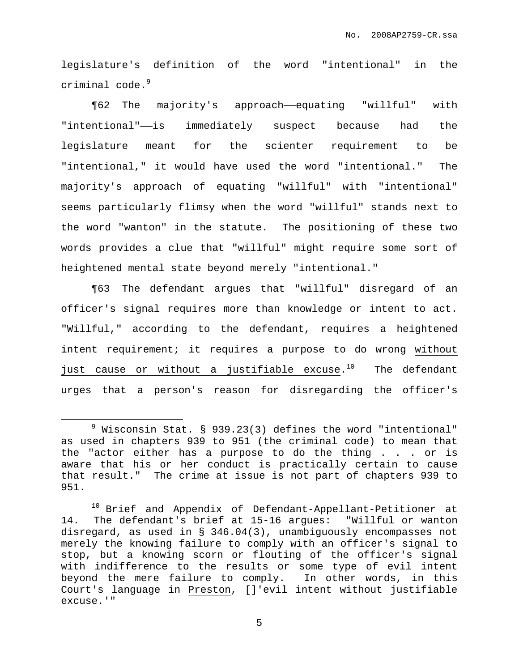legislature's definition of the word "intentional" in the criminal code. 9

¶62 The majority's approach——equating "willful" with "intentional"——is immediately suspect because had the legislature meant for the scienter requirement to be "intentional," it would have used the word "intentional." The majority's approach of equating "willful" with "intentional" seems particularly flimsy when the word "willful" stands next to the word "wanton" in the statute. The positioning of these two words provides a clue that "willful" might require some sort of heightened mental state beyond merely "intentional."

¶63 The defendant argues that "willful" disregard of an officer's signal requires more than knowledge or intent to act. "Willful," according to the defendant, requires a heightened intent requirement; it requires a purpose to do wrong without just cause or without a justifiable excuse.<sup>10</sup> The defendant urges that a person's reason for disregarding the officer's

 $9$  Wisconsin Stat. § 939.23(3) defines the word "intentional" as used in chapters 939 to 951 (the criminal code) to mean that the "actor either has a purpose to do the thing . . . or is aware that his or her conduct is practically certain to cause that result." The crime at issue is not part of chapters 939 to 951.

<sup>&</sup>lt;sup>10</sup> Brief and Appendix of Defendant-Appellant-Petitioner at 14. The defendant's brief at 15-16 argues: "Willful or wanton disregard, as used in § 346.04(3), unambiguously encompasses not merely the knowing failure to comply with an officer's signal to stop, but a knowing scorn or flouting of the officer's signal with indifference to the results or some type of evil intent beyond the mere failure to comply. In other words, in this Court's language in Preston, []'evil intent without justifiable excuse.'"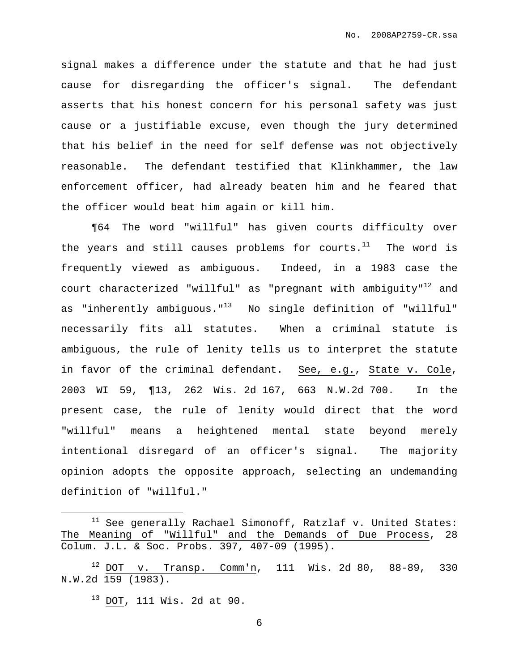signal makes a difference under the statute and that he had just cause for disregarding the officer's signal. The defendant asserts that his honest concern for his personal safety was just cause or a justifiable excuse, even though the jury determined that his belief in the need for self defense was not objectively reasonable. The defendant testified that Klinkhammer, the law enforcement officer, had already beaten him and he feared that the officer would beat him again or kill him.

¶64 The word "willful" has given courts difficulty over the years and still causes problems for courts. $^{11}$  The word is frequently viewed as ambiguous. Indeed, in a 1983 case the court characterized "willful" as "pregnant with ambiguity" $^{12}$  and as "inherently ambiguous."<sup>13</sup> No single definition of "willful" necessarily fits all statutes. When a criminal statute is ambiguous, the rule of lenity tells us to interpret the statute in favor of the criminal defendant. See, e.g., State v. Cole, 2003 WI 59, ¶13, 262 Wis. 2d 167, 663 N.W.2d 700. In the present case, the rule of lenity would direct that the word "willful" means a heightened mental state beyond merely intentional disregard of an officer's signal. The majority opinion adopts the opposite approach, selecting an undemanding definition of "willful."

 $11$  See generally Rachael Simonoff, Ratzlaf v. United States: The Meaning of "Willful" and the Demands of Due Process, 28 Colum. J.L. & Soc. Probs. 397, 407-09 (1995).

<sup>13</sup> DOT, 111 Wis. 2d at 90.

 $12$  DOT v. Transp. Comm'n, 111 Wis. 2d 80, 88-89, 330 N.W.2d 159 (1983).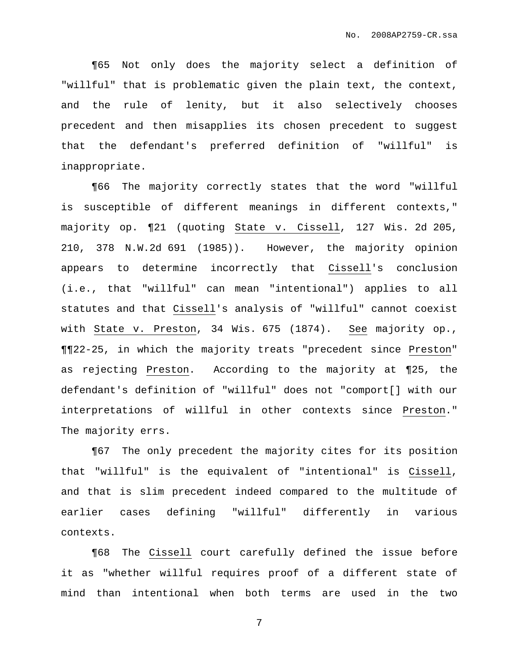¶65 Not only does the majority select a definition of "willful" that is problematic given the plain text, the context, and the rule of lenity, but it also selectively chooses precedent and then misapplies its chosen precedent to suggest that the defendant's preferred definition of "willful" is inappropriate.

¶66 The majority correctly states that the word "willful is susceptible of different meanings in different contexts," majority op. ¶21 (quoting State v. Cissell, 127 Wis. 2d 205, 210, 378 N.W.2d 691 (1985)). However, the majority opinion appears to determine incorrectly that Cissell's conclusion (i.e., that "willful" can mean "intentional") applies to all statutes and that Cissell's analysis of "willful" cannot coexist with State v. Preston, 34 Wis. 675 (1874). See majority op., ¶¶22-25, in which the majority treats "precedent since Preston" as rejecting Preston. According to the majority at ¶25, the defendant's definition of "willful" does not "comport[] with our interpretations of willful in other contexts since Preston." The majority errs.

¶67 The only precedent the majority cites for its position that "willful" is the equivalent of "intentional" is Cissell, and that is slim precedent indeed compared to the multitude of earlier cases defining "willful" differently in various contexts.

¶68 The Cissell court carefully defined the issue before it as "whether willful requires proof of a different state of mind than intentional when both terms are used in the two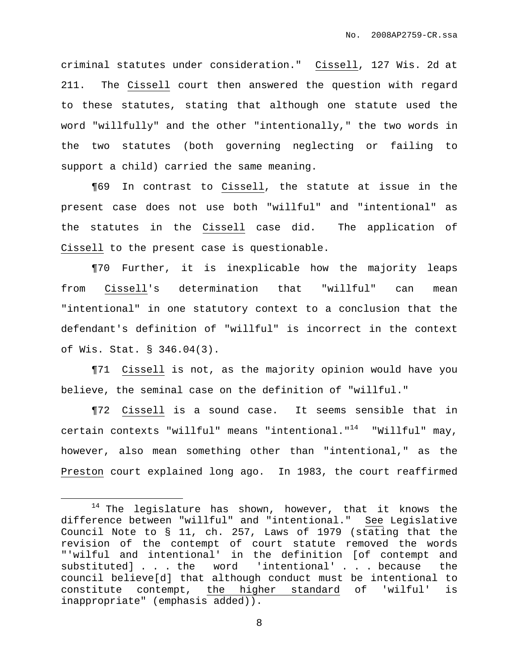criminal statutes under consideration." Cissell, 127 Wis. 2d at 211. The Cissell court then answered the question with regard to these statutes, stating that although one statute used the word "willfully" and the other "intentionally," the two words in the two statutes (both governing neglecting or failing to support a child) carried the same meaning.

¶69 In contrast to Cissell, the statute at issue in the present case does not use both "willful" and "intentional" as the statutes in the Cissell case did. The application of Cissell to the present case is questionable.

¶70 Further, it is inexplicable how the majority leaps from Cissell's determination that "willful" can mean "intentional" in one statutory context to a conclusion that the defendant's definition of "willful" is incorrect in the context of Wis. Stat. § 346.04(3).

¶71 Cissell is not, as the majority opinion would have you believe, the seminal case on the definition of "willful."

¶72 Cissell is a sound case. It seems sensible that in certain contexts "willful" means "intentional."<sup>14</sup> "Willful" may, however, also mean something other than "intentional," as the Preston court explained long ago. In 1983, the court reaffirmed

 $14$  The legislature has shown, however, that it knows the difference between "willful" and "intentional." See Legislative Council Note to § 11, ch. 257, Laws of 1979 (stating that the revision of the contempt of court statute removed the words "'wilful and intentional' in the definition [of contempt and substituted] . . . the word 'intentional' . . . because the council believe[d] that although conduct must be intentional to constitute contempt, the higher standard of 'wilful' is inappropriate" (emphasis added)).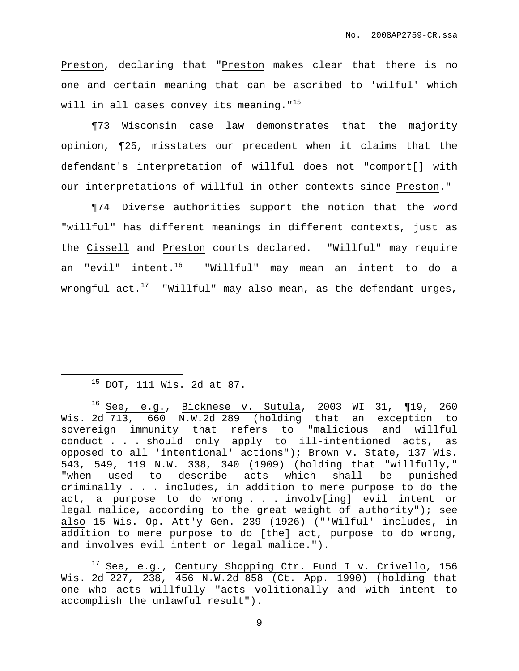Preston, declaring that "Preston makes clear that there is no one and certain meaning that can be ascribed to 'wilful' which will in all cases convey its meaning."<sup>15</sup>

¶73 Wisconsin case law demonstrates that the majority opinion, ¶25, misstates our precedent when it claims that the defendant's interpretation of willful does not "comport[] with our interpretations of willful in other contexts since Preston."

¶74 Diverse authorities support the notion that the word "willful" has different meanings in different contexts, just as the Cissell and Preston courts declared. "Willful" may require an "evil" intent.<sup>16</sup> "Willful" may mean an intent to do a wrongful act. $^{17}$  "Willful" may also mean, as the defendant urges,

# <sup>15</sup> DOT, 111 Wis. 2d at 87.

<sup>16</sup> See, e.g., Bicknese v. Sutula, 2003 WI 31, ¶19, 260 Wis. 2d 713, 660 N.W.2d 289 (holding that an exception to sovereign immunity that refers to "malicious and willful conduct . . . should only apply to ill-intentioned acts, as opposed to all 'intentional' actions"); Brown v. State, 137 Wis. 543, 549, 119 N.W. 338, 340 (1909) (holding that "willfully," "when used to describe acts which shall be punished criminally . . . includes, in addition to mere purpose to do the act, a purpose to do wrong . . . involv[ing] evil intent or legal malice, according to the great weight of authority"); see also 15 Wis. Op. Att'y Gen. 239 (1926) ("'Wilful' includes, in addition to mere purpose to do [the] act, purpose to do wrong, and involves evil intent or legal malice.").

<sup>17</sup> See, e.g., Century Shopping Ctr. Fund I v. Crivello, 156 Wis. 2d 227, 238, 456 N.W.2d 858 (Ct. App. 1990) (holding that one who acts willfully "acts volitionally and with intent to accomplish the unlawful result").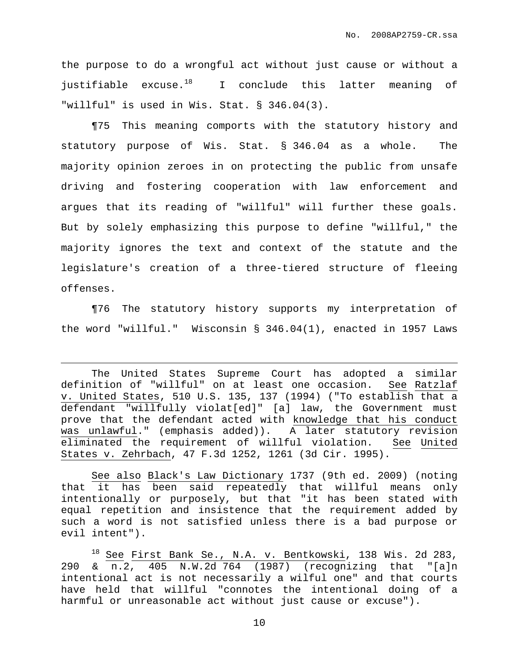the purpose to do a wrongful act without just cause or without a justifiable excuse.<sup>18</sup> I conclude this latter meaning of "willful" is used in Wis. Stat. § 346.04(3).

¶75 This meaning comports with the statutory history and statutory purpose of Wis. Stat. § 346.04 as a whole. The majority opinion zeroes in on protecting the public from unsafe driving and fostering cooperation with law enforcement and argues that its reading of "willful" will further these goals. But by solely emphasizing this purpose to define "willful," the majority ignores the text and context of the statute and the legislature's creation of a three-tiered structure of fleeing offenses.

¶76 The statutory history supports my interpretation of the word "willful." Wisconsin § 346.04(1), enacted in 1957 Laws

See also Black's Law Dictionary 1737 (9th ed. 2009) (noting that it has been said repeatedly that willful means only intentionally or purposely, but that "it has been stated with equal repetition and insistence that the requirement added by such a word is not satisfied unless there is a bad purpose or evil intent").

<sup>18</sup> See First Bank Se., N.A. v. Bentkowski, 138 Wis. 2d 283, 290 & n.2, 405 N.W.2d 764 (1987) (recognizing that "[a]n intentional act is not necessarily a wilful one" and that courts have held that willful "connotes the intentional doing of a harmful or unreasonable act without just cause or excuse").

The United States Supreme Court has adopted a similar definition of "willful" on at least one occasion. See Ratzlaf v. United States, 510 U.S. 135, 137 (1994) ("To establish that a defendant "willfully violat[ed]" [a] law, the Government must prove that the defendant acted with knowledge that his conduct was unlawful." (emphasis added)). A later statutory revision eliminated the requirement of willful violation. See United States v. Zehrbach, 47 F.3d 1252, 1261 (3d Cir. 1995).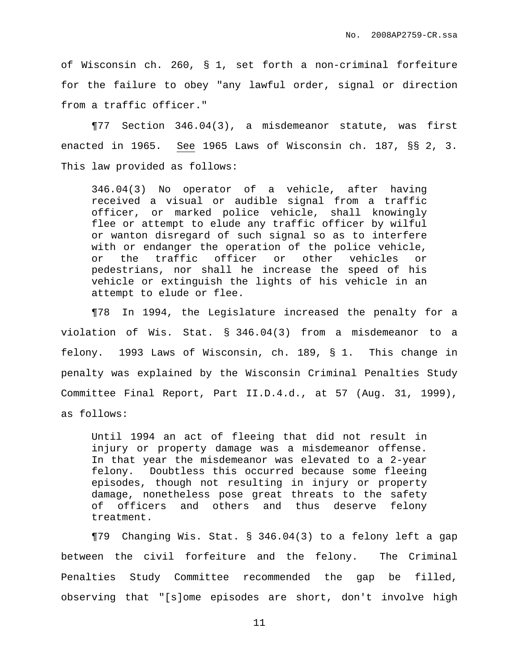of Wisconsin ch. 260, § 1, set forth a non-criminal forfeiture for the failure to obey "any lawful order, signal or direction from a traffic officer."

¶77 Section 346.04(3), a misdemeanor statute, was first enacted in 1965. See 1965 Laws of Wisconsin ch. 187, §§ 2, 3. This law provided as follows:

346.04(3) No operator of a vehicle, after having received a visual or audible signal from a traffic officer, or marked police vehicle, shall knowingly flee or attempt to elude any traffic officer by wilful or wanton disregard of such signal so as to interfere with or endanger the operation of the police vehicle, or the traffic officer or other vehicles or pedestrians, nor shall he increase the speed of his vehicle or extinguish the lights of his vehicle in an attempt to elude or flee.

¶78 In 1994, the Legislature increased the penalty for a violation of Wis. Stat. § 346.04(3) from a misdemeanor to a felony. 1993 Laws of Wisconsin, ch. 189, § 1. This change in penalty was explained by the Wisconsin Criminal Penalties Study Committee Final Report, Part II.D.4.d., at 57 (Aug. 31, 1999), as follows:

Until 1994 an act of fleeing that did not result in injury or property damage was a misdemeanor offense. In that year the misdemeanor was elevated to a 2-year felony. Doubtless this occurred because some fleeing episodes, though not resulting in injury or property damage, nonetheless pose great threats to the safety of officers and others and thus deserve felony treatment.

¶79 Changing Wis. Stat. § 346.04(3) to a felony left a gap between the civil forfeiture and the felony. The Criminal Penalties Study Committee recommended the gap be filled, observing that "[s]ome episodes are short, don't involve high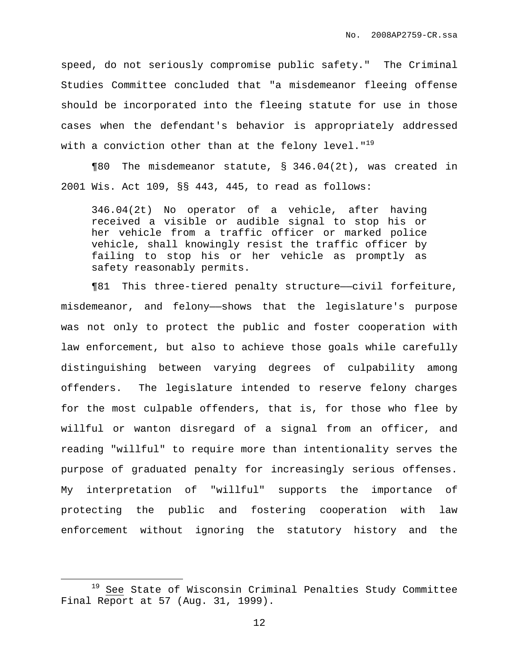speed, do not seriously compromise public safety." The Criminal Studies Committee concluded that "a misdemeanor fleeing offense should be incorporated into the fleeing statute for use in those cases when the defendant's behavior is appropriately addressed with a conviction other than at the felony level." $^{19}$ 

¶80 The misdemeanor statute, § 346.04(2t), was created in 2001 Wis. Act 109, §§ 443, 445, to read as follows:

346.04(2t) No operator of a vehicle, after having received a visible or audible signal to stop his or her vehicle from a traffic officer or marked police vehicle, shall knowingly resist the traffic officer by failing to stop his or her vehicle as promptly as safety reasonably permits.

¶81 This three-tiered penalty structure——civil forfeiture, misdemeanor, and felony——shows that the legislature's purpose was not only to protect the public and foster cooperation with law enforcement, but also to achieve those goals while carefully distinguishing between varying degrees of culpability among offenders. The legislature intended to reserve felony charges for the most culpable offenders, that is, for those who flee by willful or wanton disregard of a signal from an officer, and reading "willful" to require more than intentionality serves the purpose of graduated penalty for increasingly serious offenses. My interpretation of "willful" supports the importance of protecting the public and fostering cooperation with law enforcement without ignoring the statutory history and the

<sup>19</sup> See State of Wisconsin Criminal Penalties Study Committee Final Report at 57 (Aug. 31, 1999).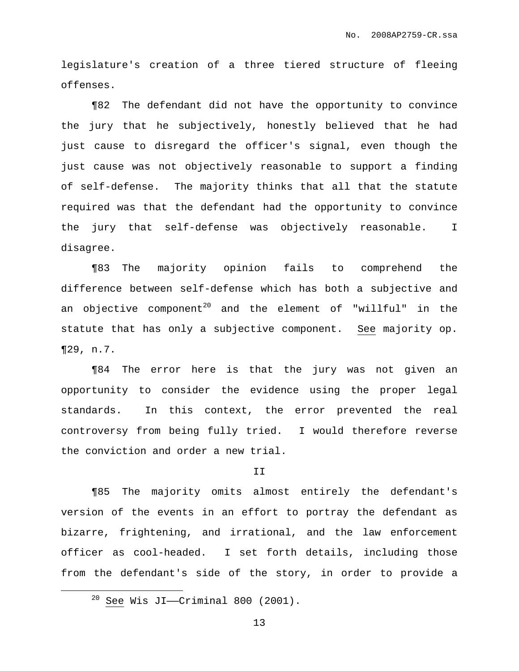legislature's creation of a three tiered structure of fleeing offenses.

¶82 The defendant did not have the opportunity to convince the jury that he subjectively, honestly believed that he had just cause to disregard the officer's signal, even though the just cause was not objectively reasonable to support a finding of self-defense. The majority thinks that all that the statute required was that the defendant had the opportunity to convince the jury that self-defense was objectively reasonable. I disagree.

¶83 The majority opinion fails to comprehend the difference between self-defense which has both a subjective and an objective component $^{\mathrm{20}}$  and the element of "willful" in the statute that has only a subjective component. See majority op. ¶29, n.7.

¶84 The error here is that the jury was not given an opportunity to consider the evidence using the proper legal standards. In this context, the error prevented the real controversy from being fully tried. I would therefore reverse the conviction and order a new trial.

#### II

¶85 The majority omits almost entirely the defendant's version of the events in an effort to portray the defendant as bizarre, frightening, and irrational, and the law enforcement officer as cool-headed. I set forth details, including those from the defendant's side of the story, in order to provide a

 $20$  See Wis JI—Criminal 800 (2001).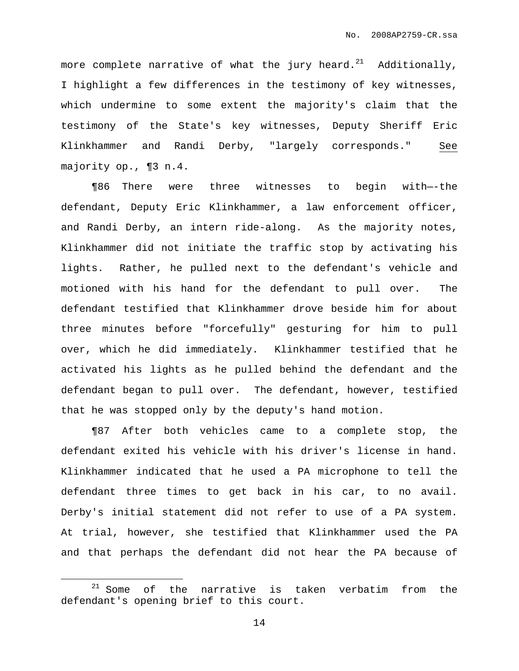more complete narrative of what the jury heard. $^{21}$  Additionally, I highlight a few differences in the testimony of key witnesses, which undermine to some extent the majority's claim that the testimony of the State's key witnesses, Deputy Sheriff Eric Klinkhammer and Randi Derby, "largely corresponds." See majority op., ¶3 n.4.

¶86 There were three witnesses to begin with—-the defendant, Deputy Eric Klinkhammer, a law enforcement officer, and Randi Derby, an intern ride-along. As the majority notes, Klinkhammer did not initiate the traffic stop by activating his lights. Rather, he pulled next to the defendant's vehicle and motioned with his hand for the defendant to pull over. The defendant testified that Klinkhammer drove beside him for about three minutes before "forcefully" gesturing for him to pull over, which he did immediately. Klinkhammer testified that he activated his lights as he pulled behind the defendant and the defendant began to pull over. The defendant, however, testified that he was stopped only by the deputy's hand motion.

¶87 After both vehicles came to a complete stop, the defendant exited his vehicle with his driver's license in hand. Klinkhammer indicated that he used a PA microphone to tell the defendant three times to get back in his car, to no avail. Derby's initial statement did not refer to use of a PA system. At trial, however, she testified that Klinkhammer used the PA and that perhaps the defendant did not hear the PA because of

 $21$  Some of the narrative is taken verbatim from the defendant's opening brief to this court.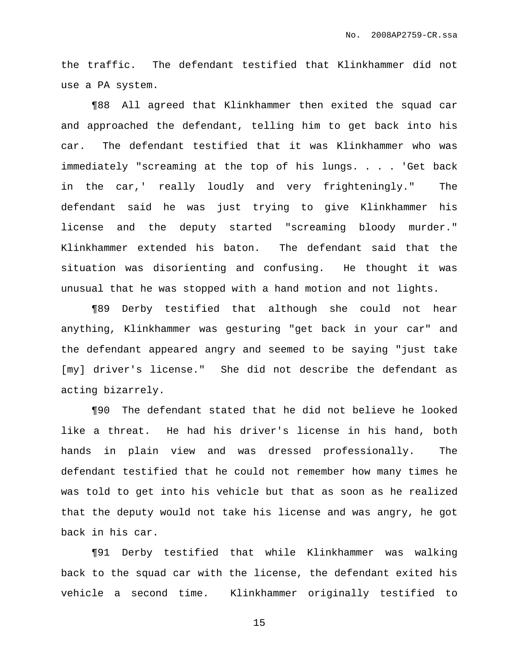the traffic. The defendant testified that Klinkhammer did not use a PA system.

¶88 All agreed that Klinkhammer then exited the squad car and approached the defendant, telling him to get back into his car. The defendant testified that it was Klinkhammer who was immediately "screaming at the top of his lungs. . . . 'Get back in the car,' really loudly and very frighteningly." The defendant said he was just trying to give Klinkhammer his license and the deputy started "screaming bloody murder." Klinkhammer extended his baton. The defendant said that the situation was disorienting and confusing. He thought it was unusual that he was stopped with a hand motion and not lights.

¶89 Derby testified that although she could not hear anything, Klinkhammer was gesturing "get back in your car" and the defendant appeared angry and seemed to be saying "just take [my] driver's license." She did not describe the defendant as acting bizarrely.

¶90 The defendant stated that he did not believe he looked like a threat. He had his driver's license in his hand, both hands in plain view and was dressed professionally. The defendant testified that he could not remember how many times he was told to get into his vehicle but that as soon as he realized that the deputy would not take his license and was angry, he got back in his car.

¶91 Derby testified that while Klinkhammer was walking back to the squad car with the license, the defendant exited his vehicle a second time. Klinkhammer originally testified to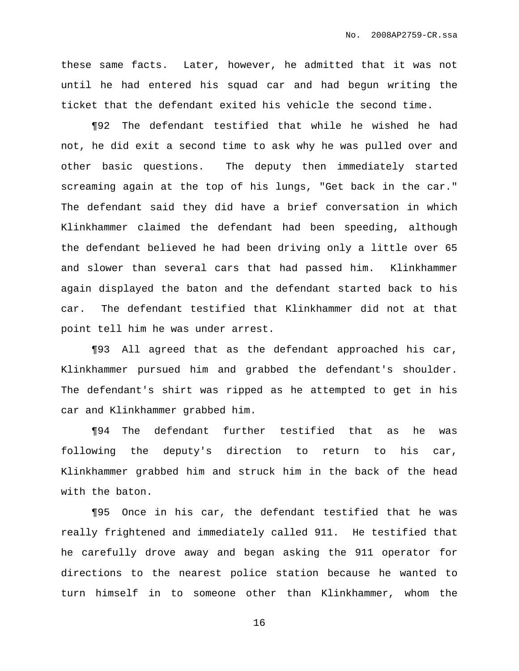these same facts. Later, however, he admitted that it was not until he had entered his squad car and had begun writing the ticket that the defendant exited his vehicle the second time.

¶92 The defendant testified that while he wished he had not, he did exit a second time to ask why he was pulled over and other basic questions. The deputy then immediately started screaming again at the top of his lungs, "Get back in the car." The defendant said they did have a brief conversation in which Klinkhammer claimed the defendant had been speeding, although the defendant believed he had been driving only a little over 65 and slower than several cars that had passed him. Klinkhammer again displayed the baton and the defendant started back to his car. The defendant testified that Klinkhammer did not at that point tell him he was under arrest.

¶93 All agreed that as the defendant approached his car, Klinkhammer pursued him and grabbed the defendant's shoulder. The defendant's shirt was ripped as he attempted to get in his car and Klinkhammer grabbed him.

¶94 The defendant further testified that as he was following the deputy's direction to return to his car, Klinkhammer grabbed him and struck him in the back of the head with the baton.

¶95 Once in his car, the defendant testified that he was really frightened and immediately called 911. He testified that he carefully drove away and began asking the 911 operator for directions to the nearest police station because he wanted to turn himself in to someone other than Klinkhammer, whom the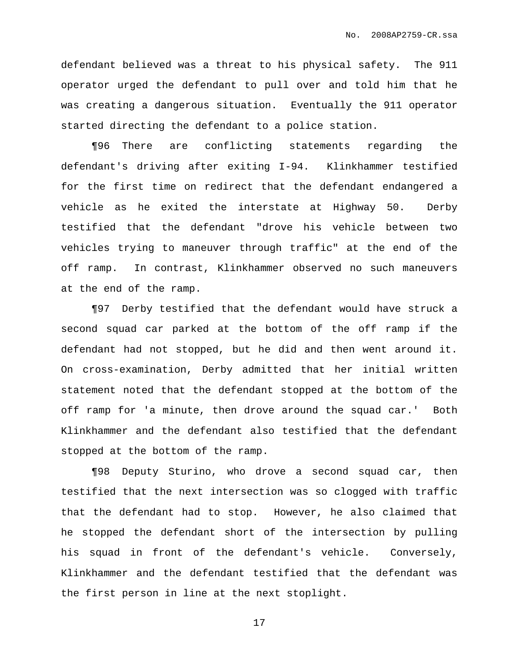defendant believed was a threat to his physical safety. The 911 operator urged the defendant to pull over and told him that he was creating a dangerous situation. Eventually the 911 operator started directing the defendant to a police station.

¶96 There are conflicting statements regarding the defendant's driving after exiting I-94. Klinkhammer testified for the first time on redirect that the defendant endangered a vehicle as he exited the interstate at Highway 50. Derby testified that the defendant "drove his vehicle between two vehicles trying to maneuver through traffic" at the end of the off ramp. In contrast, Klinkhammer observed no such maneuvers at the end of the ramp.

¶97 Derby testified that the defendant would have struck a second squad car parked at the bottom of the off ramp if the defendant had not stopped, but he did and then went around it. On cross-examination, Derby admitted that her initial written statement noted that the defendant stopped at the bottom of the off ramp for 'a minute, then drove around the squad car.' Both Klinkhammer and the defendant also testified that the defendant stopped at the bottom of the ramp.

¶98 Deputy Sturino, who drove a second squad car, then testified that the next intersection was so clogged with traffic that the defendant had to stop. However, he also claimed that he stopped the defendant short of the intersection by pulling his squad in front of the defendant's vehicle. Conversely, Klinkhammer and the defendant testified that the defendant was the first person in line at the next stoplight.